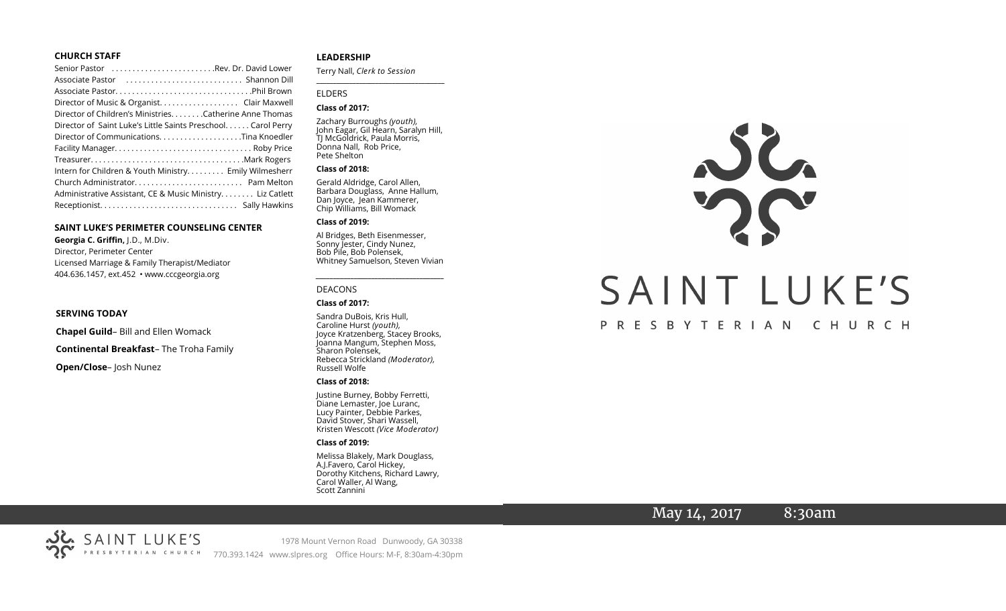#### **CHURCH STAFF**

| Senior Pastor Rev. Dr. David Lower                           |
|--------------------------------------------------------------|
|                                                              |
|                                                              |
| Director of Music & Organist. Clair Maxwell                  |
| Director of Children's Ministries. Catherine Anne Thomas     |
| Director of Saint Luke's Little Saints Preschool Carol Perry |
|                                                              |
|                                                              |
|                                                              |
| Intern for Children & Youth Ministry Emily Wilmesherr        |
|                                                              |
| Administrative Assistant, CE & Music Ministry. Liz Catlett   |
|                                                              |

#### **SAINT LUKE'S PERIMETER COUNSELING CENTER**

**Georgia C. Griffin,** J.D., M.Div. Director, Perimeter Center Licensed Marriage & Family Therapist/Mediator 404.636.1457, ext.452 • www.cccgeorgia.org

#### **SERVING TODAY**

**Chapel Guild**– Bill and Ellen Womack

**Continental Breakfast**– The Troha Family

**Open/Close**– Josh Nunez

#### **LEADERSHIP**

Terry Nall, *Clerk to Session* 

**\_\_\_\_\_\_\_\_\_\_\_\_\_\_\_\_\_\_\_\_\_\_\_\_\_\_\_\_\_\_\_\_\_\_\_\_\_\_\_**

#### ELDERS

#### **Class of 2017:**

Zachary Burroughs *(youth),*  John Eagar, Gil Hearn, Saralyn Hill, TJ McGoldrick, Paula Morris, Donna Nall, Rob Price, Pete Shelton

#### **Class of 2018:**

Gerald Aldridge, Carol Allen, Barbara Douglass, Anne Hallum, Dan Joyce, Jean Kammerer, Chip Williams, Bill Womack

#### **Class of 2019:**

Al Bridges, Beth Eisenmesser, Sonny Jester, Cindy Nunez, Bob Pile, Bob Polensek, Whitney Samuelson, Steven Vivian

*\_\_\_\_\_\_\_\_\_\_\_\_\_\_\_\_\_\_\_\_\_\_\_\_\_\_\_\_\_\_\_\_\_\_\_\_\_*

## DEACONS

#### **Class of 2017:**

Sandra DuBois, Kris Hull, Caroline Hurst *(youth),* Joyce Kratzenberg, Stacey Brooks, Joanna Mangum, Stephen Moss, Sharon Polensek, Rebecca Strickland *(Moderator),*  Russell Wolfe

#### **Class of 2018:**

Justine Burney, Bobby Ferretti, Diane Lemaster, Joe Luranc, Lucy Painter, Debbie Parkes, David Stover, Shari Wassell, Kristen Wescott *(Vice Moderator)*

#### **Class of 2019:**

Melissa Blakely, Mark Douglass, A.J.Favero, Carol Hickey, Dorothy Kitchens, Richard Lawry, Carol Waller, Al Wang, Scott Zannini



## May 14, 2017 8:30am

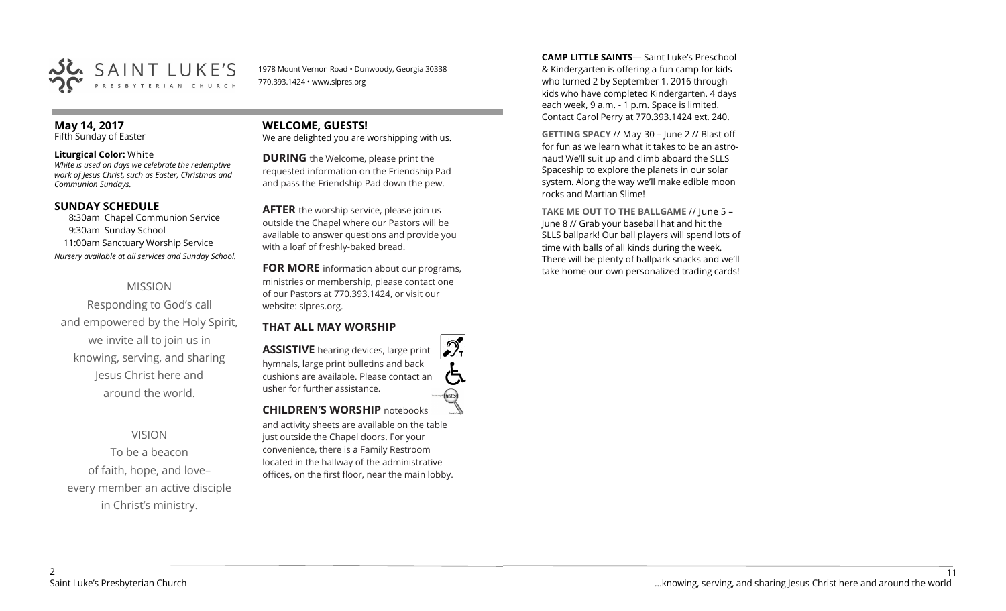

1978 Mount Vernon Road • Dunwoody, Georgia 30338 770.393.1424 • www.slpres.org

#### **May 14, 2017**  Fifth Sunday of Easter

#### **Liturgical Color:** White

*White is used on days we celebrate the redemptive work of Jesus Christ, such as Easter, Christmas and Communion Sundays.*

## **SUNDAY SCHEDULE**

8:30am Chapel Communion Service 9:30am Sunday School 11:00am Sanctuary Worship Service *Nursery available at all services and Sunday School.*

## MISSION

Responding to God's call and empowered by the Holy Spirit, we invite all to join us in knowing, serving, and sharing Jesus Christ here and around the world.

## VISION

To be a beacon of faith, hope, and love– every member an active disciple in Christ's ministry.

#### **WELCOME, GUESTS!**  We are delighted you are worshipping with us.

**DURING** the Welcome, please print the requested information on the Friendship Pad and pass the Friendship Pad down the pew.

**AFTER** the worship service, please join us outside the Chapel where our Pastors will be available to answer questions and provide you with a loaf of freshly-baked bread.

**FOR MORE** information about our programs, ministries or membership, please contact one of our Pastors at 770.393.1424, or visit our website: slpres.org.

### **THAT ALL MAY WORSHIP**

**ASSISTIVE** hearing devices, large print hymnals, large print bulletins and back cushions are available. Please contact an usher for further assistance. histext **CHILDREN'S WORSHIP** notebooks

and activity sheets are available on the table just outside the Chapel doors. For your convenience, there is a Family Restroom located in the hallway of the administrative offices, on the first floor, near the main lobby.

**CAMP LITTLE SAINTS**— Saint Luke's Preschool & Kindergarten is offering a fun camp for kids who turned 2 by September 1, 2016 through kids who have completed Kindergarten. 4 days each week, 9 a.m. - 1 p.m. Space is limited. Contact Carol Perry at 770.393.1424 ext. 240.

**GETTING SPACY** // May 30 – June 2 // Blast off for fun as we learn what it takes to be an astronaut! We'll suit up and climb aboard the SLLS Spaceship to explore the planets in our solar system. Along the way we'll make edible moon rocks and Martian Slime!

**TAKE ME OUT TO THE BALLGAME** // June 5 – June 8 // Grab your baseball hat and hit the SLLS ballpark! Our ball players will spend lots of time with balls of all kinds during the week. There will be plenty of ballpark snacks and we'll take home our own personalized trading cards!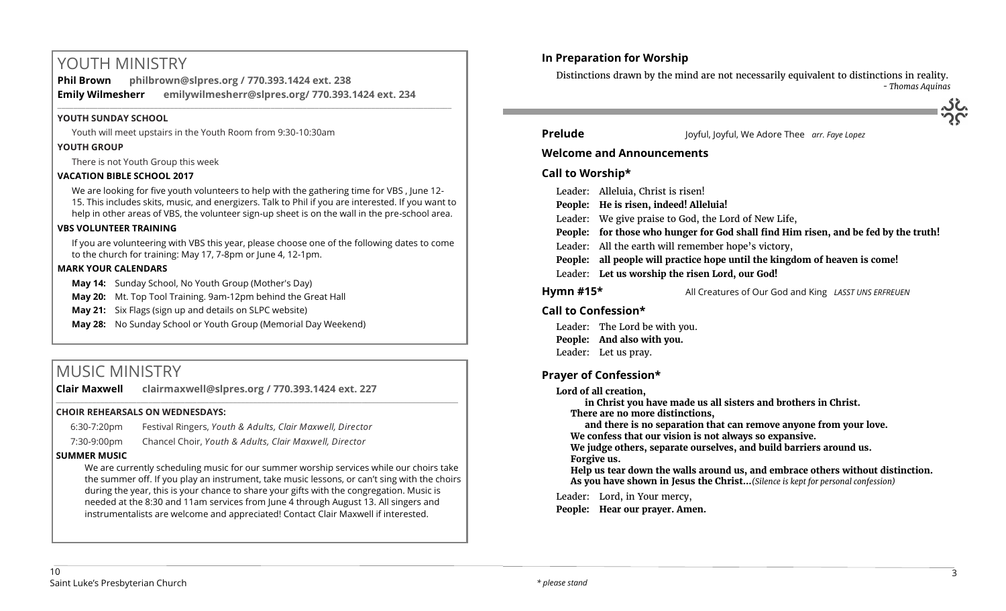# YOUTH MINISTRY

**Phil Brown philbrown@slpres.org / 770.393.1424 ext. 238 Emily Wilmesherr emilywilmesherr@slpres.org/ 770.393.1424 ext. 234**   $\_$  ,  $\_$  ,  $\_$  ,  $\_$  ,  $\_$  ,  $\_$  ,  $\_$  ,  $\_$  ,  $\_$  ,  $\_$  ,  $\_$  ,  $\_$  ,  $\_$  ,  $\_$  ,  $\_$  ,  $\_$  ,  $\_$  ,  $\_$  ,  $\_$  ,  $\_$  ,  $\_$  ,  $\_$  ,  $\_$  ,  $\_$  ,  $\_$  ,  $\_$  ,  $\_$  ,  $\_$  ,  $\_$  ,  $\_$  ,  $\_$  ,  $\_$  ,  $\_$  ,  $\_$  ,  $\_$  ,  $\_$  ,  $\_$  ,

#### **YOUTH SUNDAY SCHOOL**

Youth will meet upstairs in the Youth Room from 9:30-10:30am

### **YOUTH GROUP**

There is not Youth Group this week

## **VACATION BIBLE SCHOOL 2017**

We are looking for five youth volunteers to help with the gathering time for VBS , June 12- 15. This includes skits, music, and energizers. Talk to Phil if you are interested. If you want to help in other areas of VBS, the volunteer sign-up sheet is on the wall in the pre-school area.

### **VBS VOLUNTEER TRAINING**

If you are volunteering with VBS this year, please choose one of the following dates to come to the church for training: May 17, 7-8pm or June 4, 12-1pm.

#### **MARK YOUR CALENDARS**

**May 14:** Sunday School, No Youth Group (Mother's Day)

**May 20:** Mt. Top Tool Training. 9am-12pm behind the Great Hall

**May 21:** Six Flags (sign up and details on SLPC website)

**May 28:** No Sunday School or Youth Group (Memorial Day Weekend)

# MUSIC MINISTRY

**Clair Maxwell clairmaxwell@slpres.org / 770.393.1424 ext. 227** 

### **CHOIR REHEARSALS ON WEDNESDAYS:**

| 6:30-7:20pm | Festival Ringers, Youth & Adults, Clair Maxwell, Director |
|-------------|-----------------------------------------------------------|
| 7:30-9:00pm | Chancel Choir, Youth & Adults, Clair Maxwell, Director    |

### **SUMMER MUSIC**

We are currently scheduling music for our summer worship services while our choirs take the summer off. If you play an instrument, take music lessons, or can't sing with the choirs during the year, this is your chance to share your gifts with the congregation. Music is needed at the 8:30 and 11am services from June 4 through August 13. All singers and instrumentalists are welcome and appreciated! Contact Clair Maxwell if interested.

\_\_\_\_\_\_\_\_\_\_\_\_\_\_\_\_\_\_\_\_\_\_\_\_\_\_\_\_\_\_\_\_\_\_\_\_\_\_\_\_\_\_\_\_\_\_\_\_\_\_\_\_\_\_\_\_\_\_\_\_\_\_\_\_\_\_\_\_\_\_\_\_\_\_\_\_\_\_\_\_\_\_\_\_\_\_\_\_\_\_\_\_\_\_\_\_\_\_\_\_

## **In Preparation for Worship**

Distinctions drawn by the mind are not necessarily equivalent to distinctions in reality. *- Thomas Aquinas*



**Prelude** Joyful, Joyful, We Adore Thee *arr. Faye Lopez* 

### **Welcome and Announcements**

## **Call to Worship\***

|                                                                   | Leader: Alleluia, Christ is risen!                                                  |  |  |
|-------------------------------------------------------------------|-------------------------------------------------------------------------------------|--|--|
|                                                                   | People: He is risen, indeed! Alleluia!                                              |  |  |
|                                                                   | Leader: We give praise to God, the Lord of New Life,                                |  |  |
|                                                                   | People: for those who hunger for God shall find Him risen, and be fed by the truth! |  |  |
|                                                                   | Leader: All the earth will remember hope's victory,                                 |  |  |
|                                                                   | People: all people will practice hope until the kingdom of heaven is come!          |  |  |
|                                                                   | Leader: Let us worship the risen Lord, our God!                                     |  |  |
| Hymn #15*<br>All Creatures of Our God and King LASST UNS ERFREUEN |                                                                                     |  |  |

## **Call to Confession\***

Leader: The Lord be with you. **People: And also with you.** Leader: Let us pray.

## **Prayer of Confession\***

#### **Lord of all creation,**

**in Christ you have made us all sisters and brothers in Christ. There are no more distinctions, and there is no separation that can remove anyone from your love. We confess that our vision is not always so expansive. We judge others, separate ourselves, and build barriers around us. Forgive us. Help us tear down the walls around us, and embrace others without distinction. As you have shown in Jesus the Christ...***(Silence is kept for personal confession)* 

Leader: Lord, in Your mercy, **People: Hear our prayer. Amen.**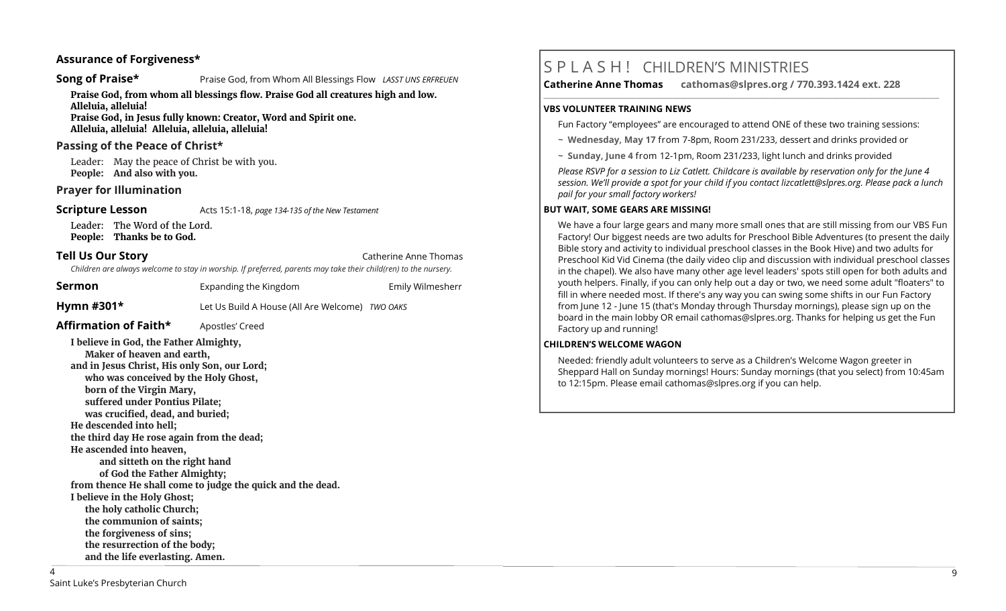## **Assurance of Forgiveness\***

#### **Song of Praise\* Praise God, from Whom All Blessings Flow** *LASST UNS ERFREUEN*

**Praise God, from whom all blessings flow. Praise God all creatures high and low. Alleluia, alleluia!** 

**Praise God, in Jesus fully known: Creator, Word and Spirit one. Alleluia, alleluia! Alleluia, alleluia, alleluia!** 

### **Passing of the Peace of Christ\***

Leader: May the peace of Christ be with you. **People: And also with you.**

#### **Prayer for Illumination**

**Scripture Lesson** Acts 15:1-18, *page 134-135 of the New Testament* 

Leader: The Word of the Lord. **People: Thanks be to God.**

**Tell Us Our Story Catherine Anne Thomas Catherine Anne Thomas Catherine Anne Thomas** 

*Children are always welcome to stay in worship. If preferred, parents may take their child(ren) to the nursery.*

| Sermon                | Expanding the Kingdom                           | Emily Wilmesherr |
|-----------------------|-------------------------------------------------|------------------|
| Hymn #301 $\star$     | Let Us Build A House (All Are Welcome) TWO OAKS |                  |
| Affirmation of Faith* | Apostles' Creed                                 |                  |

**I believe in God, the Father Almighty, Maker of heaven and earth, and in Jesus Christ, His only Son, our Lord; who was conceived by the Holy Ghost, born of the Virgin Mary, suffered under Pontius Pilate; was crucified, dead, and buried; He descended into hell; the third day He rose again from the dead; He ascended into heaven, and sitteth on the right hand of God the Father Almighty; from thence He shall come to judge the quick and the dead. I believe in the Holy Ghost; the holy catholic Church; the communion of saints; the forgiveness of sins; the resurrection of the body; and the life everlasting. Amen.**

# S P L A S H ! CHILDREN'S MINISTRIES

**Catherine Anne Thomas cathomas@slpres.org / 770.393.1424 ext. 228** 

#### **VBS VOLUNTEER TRAINING NEWS**

Fun Factory "employees" are encouraged to attend ONE of these two training sessions:

**\_\_\_\_\_\_\_\_\_\_\_\_\_\_\_\_\_\_\_\_\_\_\_\_\_\_\_\_\_\_\_\_\_\_\_\_\_\_\_\_\_\_\_\_\_\_\_\_\_\_\_\_\_\_\_\_\_\_\_\_\_\_\_\_\_\_\_\_\_\_\_\_\_\_\_\_\_\_\_\_\_\_\_\_\_\_\_\_\_\_\_\_\_\_\_\_\_\_\_\_\_\_\_\_\_\_\_** 

- ~ **Wednesday, May 17** from 7-8pm, Room 231/233, dessert and drinks provided or
- ~ **Sunday, June 4** from 12-1pm, Room 231/233, light lunch and drinks provided

*Please RSVP for a session to Liz Catlett. Childcare is available by reservation only for the June 4 session. We'll provide a spot for your child if you contact [lizcatlett@slpres.org.](mailto:lizcatlett@slpres.org) Please pack a lunch pail for your small factory workers!*

#### **BUT WAIT, SOME GEARS ARE MISSING!**

We have a four large gears and many more small ones that are still missing from our VBS Fun Factory! Our biggest needs are two adults for Preschool Bible Adventures (to present the daily Bible story and activity to individual preschool classes in the Book Hive) and two adults for Preschool Kid Vid Cinema (the daily video clip and discussion with individual preschool classes in the chapel). We also have many other age level leaders' spots still open for both adults and youth helpers. Finally, if you can only help out a day or two, we need some adult "floaters" to fill in where needed most. If there's any way you can swing some shifts in our Fun Factory from June 12 - June 15 (that's Monday through Thursday mornings), please sign up on the board in the main lobby OR email [cathomas@slpres.org.](mailto:cathomas@slpres.orgThanks) Thanks for helping us get the Fun Factory up and running!

#### **CHILDREN'S WELCOME WAGON**

Needed: friendly adult volunteers to serve as a Children's Welcome Wagon greeter in Sheppard Hall on Sunday mornings! Hours: Sunday mornings (that you select) from 10:45am to 12:15pm. Please email [cathomas@slpres.org](mailto:cathomas@slpres.org) if you can help.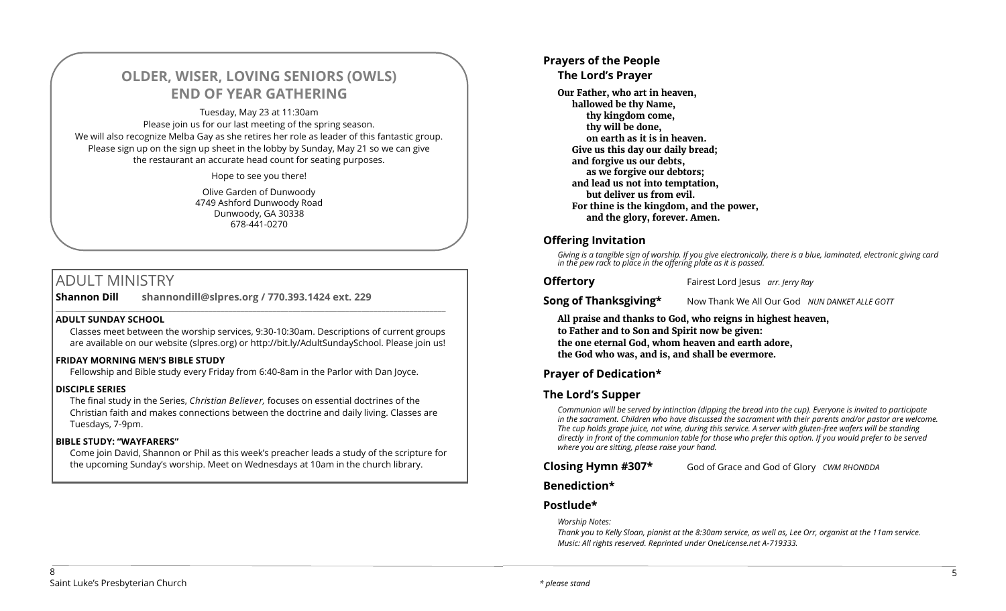# **OLDER, WISER, LOVING SENIORS (OWLS) END OF YEAR GATHERING**

Tuesday, May 23 at 11:30am Please join us for our last meeting of the spring season. We will also recognize Melba Gay as she retires her role as leader of this fantastic group. Please sign up on the sign up sheet in the lobby by Sunday, May 21 so we can give the restaurant an accurate head count for seating purposes.

Hope to see you there!

Olive Garden of Dunwoody 4749 Ashford Dunwoody Road Dunwoody, GA 30338 678-441-0270

# ADULT MINISTRY

**Shannon Dill shannondill@slpres.org / 770.393.1424 ext. 229** 

### **ADULT SUNDAY SCHOOL**

Classes meet between the worship services, 9:30-10:30am. Descriptions of current groups are available on our website (slpres.org) or http://bit.ly/AdultSundaySchool. Please join us!

 $\_$  ,  $\_$  ,  $\_$  ,  $\_$  ,  $\_$  ,  $\_$  ,  $\_$  ,  $\_$  ,  $\_$  ,  $\_$  ,  $\_$  ,  $\_$  ,  $\_$  ,  $\_$  ,  $\_$  ,  $\_$  ,  $\_$  ,  $\_$  ,  $\_$ 

### **FRIDAY MORNING MEN'S BIBLE STUDY**

Fellowship and Bible study every Friday from 6:40-8am in the Parlor with Dan Joyce.

### **DISCIPLE SERIES**

The final study in the Series, *Christian Believer,* focuses on essential doctrines of the Christian faith and makes connections between the doctrine and daily living. Classes are Tuesdays, 7-9pm.

### **BIBLE STUDY: "WAYFARERS"**

Come join David, Shannon or Phil as this week's preacher leads a study of the scripture for the upcoming Sunday's worship. Meet on Wednesdays at 10am in the church library.

## **Prayers of the People**

## **The Lord's Prayer**

**Our Father, who art in heaven, hallowed be thy Name, thy kingdom come, thy will be done, on earth as it is in heaven. Give us this day our daily bread; and forgive us our debts, as we forgive our debtors; and lead us not into temptation, but deliver us from evil. For thine is the kingdom, and the power, and the glory, forever. Amen.**

## **Offering Invitation**

*Giving is a tangible sign of worship. If you give electronically, there is a blue, laminated, electronic giving card in the pew rack to place in the offering plate as it is passed.*

**Offertory** Fairest Lord Jesus *arr. Jerry Ray*

**Song of Thanksgiving\*** Now Thank We All Our God *NUN DANKET ALLE GOTT* 

**All praise and thanks to God, who reigns in highest heaven, to Father and to Son and Spirit now be given: the one eternal God, whom heaven and earth adore, the God who was, and is, and shall be evermore.** 

## **Prayer of Dedication\***

## **The Lord's Supper**

*Communion will be served by intinction (dipping the bread into the cup). Everyone is invited to participate in the sacrament. Children who have discussed the sacrament with their parents and/or pastor are welcome. The cup holds grape juice, not wine, during this service. A server with gluten-free wafers will be standing directly in front of the communion table for those who prefer this option. If you would prefer to be served where you are sitting, please raise your hand.* 

**Closing Hymn #307\*** God of Grace and God of Glory *CWM RHONDDA*

## **Benediction\***

## **Postlude\***

*Worship Notes:* 

*Thank you to Kelly Sloan, pianist at the 8:30am service, as well as, Lee Orr, organist at the 11am service. Music: All rights reserved. Reprinted under OneLicense.net A-719333.*